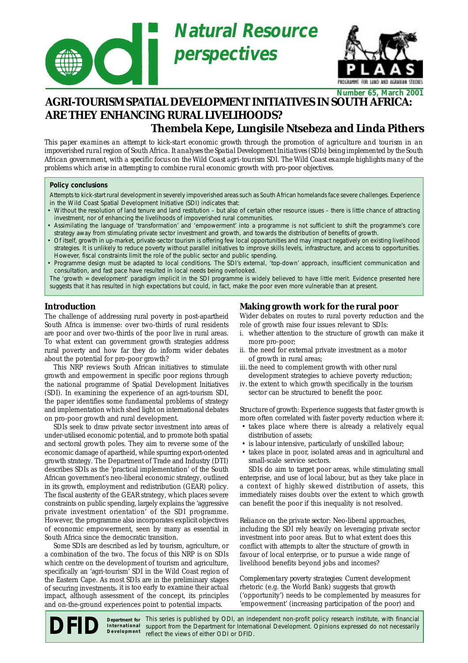



# **Number 65, March 2001**

# **AGRI-TOURISM SPATIAL DEVELOPMENT INITIATIVES IN SOUTH AFRICA: ARE THEY ENHANCING RURAL LIVELIHOODS? Thembela Kepe, Lungisile Ntsebeza and Linda Pithers**

*This paper examines an attempt to kick-start economic growth through the promotion of agriculture and tourism in an impoverished rural region of South Africa. It analyses the Spatial Development Initiatives (SDIs) being implemented by the South African government, with a specific focus on the Wild Coast agri-tourism SDI. The Wild Coast example highlights many of the problems which arise in attempting to combine rural economic growth with pro-poor objectives.*

## **Policy conclusions**

Attempts to kick-start rural development in severely impoverished areas such as South African homelands face severe challenges. Experience in the Wild Coast Spatial Development Initiative (SDI) indicates that:

- Without the resolution of land tenure and land restitution but also of certain other resource issues there is little chance of attracting investment, nor of enhancing the livelihoods of impoverished rural communities.
- Assimilating the language of 'transformation' and 'empowerment' into a programme is not sufficient to shift the programme's core strategy away from stimulating private sector investment and growth, and towards the distribution of benefits of growth.
- Of itself, growth in up-market, private-sector tourism is offering few local opportunities and may impact negatively on existing livelihood strategies. It is unlikely to reduce poverty without parallel initiatives to improve skills levels, infrastructure, and access to opportunities. However, fiscal constraints limit the role of the public sector and public spending.
- Programme design must be adapted to local conditions. The SDI's external, 'top-down' approach, insufficient communication and consultation, and fast pace have resulted in local needs being overlooked.

The 'growth = development' paradigm implicit in the SDI programme is widely believed to have little merit. Evidence presented here suggests that it has resulted in high expectations but could, in fact, make the poor even more vulnerable than at present.

# **Introduction**

The challenge of addressing rural poverty in post-apartheid South Africa is immense: over two-thirds of rural residents are poor and over two-thirds of the poor live in rural areas. To what extent can government growth strategies address rural poverty and how far they do inform wider debates about the potential for pro-poor growth?

This NRP reviews South African initiatives to stimulate growth and empowerment in specific poor regions through the national programme of Spatial Development Initiatives (SDI). In examining the experience of an agri-tourism SDI, the paper identifies some fundamental problems of strategy and implementation which shed light on international debates on pro-poor growth and rural development.

SDIs seek to draw private sector investment into areas of under-utilised economic potential, and to promote both spatial and sectoral growth poles. They aim to reverse some of the economic damage of apartheid, while spurring export-oriented growth strategy. The Department of Trade and Industry (DTI) describes SDIs as the 'practical implementation' of the South African government's neo-liberal economic strategy, outlined in its growth, employment and redistribution (GEAR) policy. The fiscal austerity of the GEAR strategy, which places severe constraints on public spending, largely explains the 'aggressive private investment orientation' of the SDI programme. However, the programme also incorporates explicit objectives of economic empowerment, seen by many as essential in South Africa since the democratic transition.

Some SDIs are described as led by tourism, agriculture, or a combination of the two. The focus of this NRP is on SDIs which centre on the development of tourism and agriculture, specifically an 'agri-tourism' SDI in the Wild Coast region of the Eastern Cape. As most SDIs are in the preliminary stages of securing investments, it is too early to examine their actual impact, although assessment of the concept, its principles and on-the-ground experiences point to potential impacts.

# **Making growth work for the rural poor**

Wider debates on routes to rural poverty reduction and the role of growth raise four issues relevant to SDIs:

- i. whether attention to the structure of growth can make it more pro-poor;
- ii. the need for external private investment as a motor of growth in rural areas;
- iii. the need to complement growth with other rural development strategies to achieve poverty reduction;
- iv. the extent to which growth specifically in the tourism sector can be structured to benefit the poor.

*Structure of growth:* Experience suggests that faster growth is more often correlated with faster poverty reduction where it:

- takes place where there is already a relatively equal distribution of assets;
- is labour intensive, particularly of unskilled labour;
- takes place in poor, isolated areas and in agricultural and small-scale service sectors.

SDIs do aim to target poor areas, while stimulating small enterprise, and use of local labour, but as they take place in a context of highly skewed distribution of assets, this immediately raises doubts over the extent to which growth can benefit the poor if this inequality is not resolved.

*Reliance on the private sector*: Neo-liberal approaches, including the SDI rely heavily on leveraging private sector investment into poor areas. But to what extent does this conflict with attempts to alter the structure of growth in favour of local enterprise, or to pursue a wide range of livelihood benefits beyond jobs and incomes?

*Complementary poverty strategies*: Current development rhetoric (e.g. the World Bank) suggests that growth ('opportunity') needs to be complemented by measures for 'empowerment' (increasing participation of the poor) and

DE Department for This series is published by ODI, an independent non-profit policy research institute, with financial support from the Department for International Development. Opinions expressed do not necessarily perfec **Development**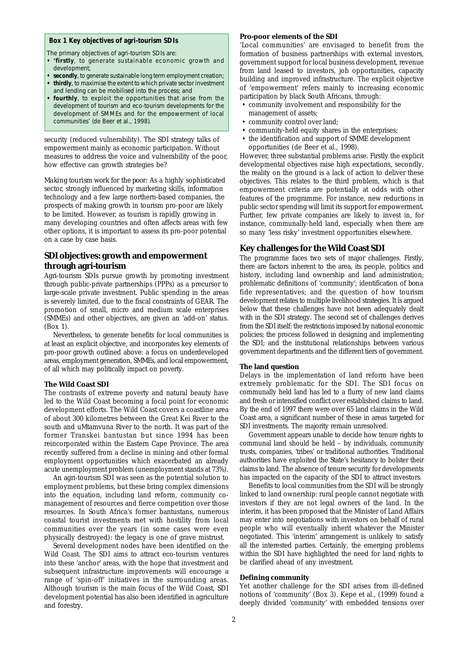#### **Box 1 Key objectives of agri-tourism SDIs**

- The primary objectives of agri-tourism SDIs are:
- **'firstly**, to generate sustainable economic growth and development;
- **secondly**, to generate sustainable long term employment creation; **• thirdly**, to maximise the extent to which private sector investment and lending can be mobilised into the process; and
- **fourthly**, to exploit the opportunities that arise from the development of tourism and eco-tourism developments for the development of SMMEs and for the empowerment of local communities' (de Beer et al., 1998).

security (reduced vulnerability). The SDI strategy talks of empowerment mainly as economic participation. Without measures to address the voice and vulnerability of the poor, how effective can growth strategies be?

*Making tourism work for the poor:* As a highly sophisticated sector, strongly influenced by marketing skills, information technology and a few large northern-based companies, the prospects of making growth in tourism pro-poor are likely to be limited. However, as tourism is rapidly growing in many developing countries and often affects areas with few other options, it is important to assess its pro-poor potential on a case by case basis.

# **SDI objectives: growth and empowerment through agri-tourism**

Agri-tourism SDIs pursue growth by promoting investment through public-private partnerships (PPPs) as a precursor to large-scale private investment. Public spending in the areas is severely limited, due to the fiscal constraints of GEAR. The promotion of small, micro and medium scale enterprises (SMMEs) and other objectives, are given an 'add-on' status. (Box 1).

Nevertheless, to generate benefits for local communities is at least an explicit objective, and incorporates key elements of pro-poor growth outlined above: a focus on underdeveloped areas, employment generation, SMMEs, and local empowerment, of all which may politically impact on poverty.

#### **The Wild Coast SDI**

The contrasts of extreme poverty and natural beauty have led to the Wild Coast becoming a focal point for economic development efforts. The Wild Coast covers a coastline area of about 300 kilometres between the Great Kei River to the south and uMtamvuna River to the north. It was part of the former Transkei bantustan but since 1994 has been reincorporated within the Eastern Cape Province. The area recently suffered from a decline in mining and other formal employment opportunities which exacerbated an already acute unemployment problem (unemployment stands at 73%).

An agri-tourism SDI was seen as the potential solution to employment problems, but these bring complex dimensions into the equation, including land reform, community comanagement of resources and fierce competition over those resources. In South Africa's former bantustans, numerous coastal tourist investments met with hostility from local communities over the years (in some cases were even physically destroyed): the legacy is one of grave mistrust.

Several development nodes have been identified on the Wild Coast. The SDI aims to attract eco-tourism ventures into these 'anchor' areas, with the hope that investment and subsequent infrastructure improvements will encourage a range of 'spin-off' initiatives in the surrounding areas. Although tourism is the main focus of the Wild Coast, SDI development potential has also been identified in agriculture and forestry.

#### **Pro-poor elements of the SDI**

'Local communities' are envisaged to benefit from the formation of business partnerships with external investors, government support for local business development, revenue from land leased to investors, job opportunities, capacity building and improved infrastructure. The explicit objective of 'empowerment' refers mainly to increasing economic participation by black South Africans, through:

- community involvement and responsibility for the management of assets;
- community control over land;
- community-held equity shares in the enterprises;
- the identification and support of SMME development opportunities (de Beer et al., 1998).

However, three substantial problems arise. Firstly the explicit developmental objectives raise high expectations, secondly, the reality on the ground is a lack of action to deliver these objectives. This relates to the third problem, which is that empowerment criteria are potentially at odds with other features of the programme. For instance, new reductions in public sector spending will limit its support for empowerment. Further, few private companies are likely to invest in, for instance, communally-held land, especially when there are so many 'less risky' investment opportunities elsewhere.

#### **Key challenges for the Wild Coast SDI**

The programme faces two sets of major challenges. Firstly, there are factors inherent to the area, its people, politics and history, including land ownership and land administration; problematic definitions of 'community'; identification of *bona fide* representatives; and the question of how tourism development relates to multiple livelihood strategies. It is argued below that these challenges have not been adequately dealt with in the SDI strategy. The second set of challenges derives from the SDI itself: the restrictions imposed by national economic policies; the process followed in designing and implementing the SDI; and the institutional relationships between various government departments and the different tiers of government.

#### **The land question**

Delays in the implementation of land reform have been extremely problematic for the SDI. The SDI focus on communally held land has led to a flurry of new land claims and fresh or intensified conflict over established claims to land. By the end of 1997 there were over 65 land claims in the Wild Coast area, a significant number of these in areas targeted for SDI investments. The majority remain unresolved.

Government appears unable to decide how tenure rights to communal land should be held – by individuals, community trusts, companies, 'tribes' or traditional authorities. Traditional authorities have exploited the State's hesitancy to bolster their claims to land. The absence of tenure security for developments has impacted on the capacity of the SDI to attract investors.

Benefits to local communities from the SDI will be strongly linked to land ownership: rural people cannot negotiate with investors if they are not legal owners of the land. In the interim, it has been proposed that the Minister of Land Affairs may enter into negotiations with investors on behalf of rural people who will eventually inherit whatever the Minister negotiated. This 'interim' arrangement is unlikely to satisfy all the interested parties. Certainly, the emerging problems within the SDI have highlighted the need for land rights to be clarified ahead of any investment.

#### **Defining community**

Yet another challenge for the SDI arises from ill-defined notions of 'community' (Box 3). Kepe et al., (1999) found a deeply divided 'community' with embedded tensions over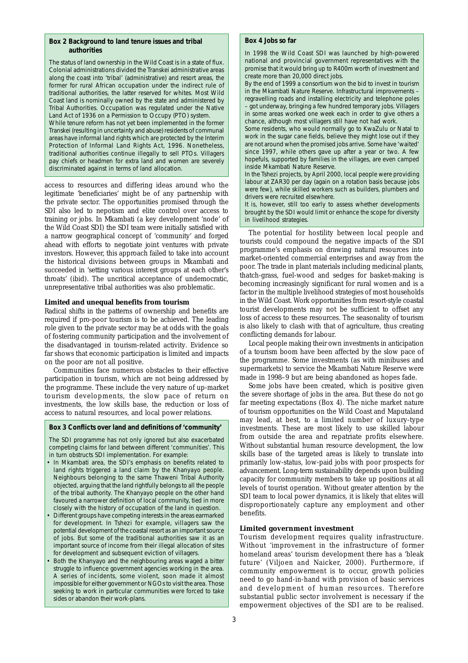#### **Box 2 Background to land tenure issues and tribal authorities**

The status of land ownership in the Wild Coast is in a state of flux. Colonial administrations divided the Transkei administrative areas along the coast into 'tribal' (administrative) and resort areas, the former for rural African occupation under the indirect rule of traditional authorities, the latter reserved for whites. Most Wild Coast land is nominally owned by the state and administered by Tribal Authorities. Occupation was regulated under the Native Land Act of 1936 on a Permission to Occupy (PTO) system.

While tenure reform has not yet been implemented in the former Transkei (resulting in uncertainty and abuse) residents of communal areas have informal land rights which are protected by the Interim Protection of Informal Land Rights Act, 1996. Nonetheless, traditional authorities continue illegally to sell PTOs. Villagers pay chiefs or headmen for extra land and women are severely discriminated against in terms of land allocation.

access to resources and differing ideas around who the legitimate 'beneficiaries' might be of any partnership with the private sector. The opportunities promised through the SDI also led to nepotism and elite control over access to training or jobs. In Mkambati (a key development 'node' of the Wild Coast SDI) the SDI team were initially satisfied with a narrow geographical concept of 'community' and forged ahead with efforts to negotiate joint ventures with private investors. However, this approach failed to take into account the historical divisions between groups in Mkambati and succeeded in 'setting various interest groups at each other's throats' (ibid). The uncritical acceptance of undemocratic, unrepresentative tribal authorities was also problematic.

#### **Limited and unequal benefits from tourism**

Radical shifts in the patterns of ownership and benefits are required if pro-poor tourism is to be achieved. The leading role given to the private sector may be at odds with the goals of fostering community participation and the involvement of the disadvantaged in tourism-related activity. Evidence so far shows that economic participation is limited and impacts on the poor are not all positive.

Communities face numerous obstacles to their effective participation in tourism, which are not being addressed by the programme. These include the very nature of up-market tourism developments, the slow pace of return on investments, the low skills base, the reduction or loss of access to natural resources, and local power relations.

#### **Box 3 Conflicts over land and definitions of 'community'**

The SDI programme has not only ignored but also exacerbated competing claims for land between different 'communities'. This in turn obstructs SDI implementation. For example:

- In Mkambati area, the SDI's emphasis on benefits related to land rights triggered a land claim by the Khanyayo people. Neighbours belonging to the same Thaweni Tribal Authority objected, arguing that the land rightfully belongs to all the people of the tribal authority. The Khanyayo people on the other hand favoured a narrower definition of local community, tied in more closely with the history of occupation of the land in question.
- Different groups have competing interests in the areas earmarked for development. In Tshezi for example, villagers saw the potential development of the coastal resort as an important source of jobs. But some of the traditional authorities saw it as an important source of income from their illegal allocation of sites for development and subsequent eviction of villagers.
- Both the Khanyayo and the neighbouring areas waged a bitter struggle to influence government agencies working in the area. A series of incidents, some violent, soon made it almost impossible for either government or NGOs to visit the area. Those seeking to work in particular communities were forced to take sides or abandon their work-plans.

## **Box 4 Jobs so far**

In 1998 the Wild Coast SDI was launched by high-powered national and provincial government representatives with the promise that it would bring up to R400m worth of investment and create more than 20,000 direct jobs.

By the end of 1999 a consortium won the bid to invest in tourism in the Mkambati Nature Reserve. Infrastructural improvements – regravelling roads and installing electricity and telephone poles – got underway, bringing a few hundred temporary jobs. Villagers in some areas worked one week each in order to give others a chance, although most villagers still have not had work.

Some residents, who would normally go to KwaZulu or Natal to work in the sugar cane fields, believe they might lose out if they are not around when the promised jobs arrive. Some have 'waited' since 1997, while others gave up after a year or two. A few hopefuls, supported by families in the villages, are even camped inside Mkambati Nature Reserve.

In the Tshezi projects, by April 2000, local people were providing labour at ZAR30 per day (again on a rotation basis because jobs were few), while skilled workers such as builders, plumbers and drivers were recruited elsewhere.

It is, however, still too early to assess whether developments brought by the SDI would limit or enhance the scope for diversity in livelihood strategies.

The potential for hostility between local people and tourists could compound the negative impacts of the SDI programme's emphasis on drawing natural resources into market-oriented commercial enterprises and away from the poor. The trade in plant materials including medicinal plants, thatch-grass, fuel-wood and sedges for basket-making is becoming increasingly significant for rural women and is a factor in the multiple livelihood strategies of most households in the Wild Coast. Work opportunities from resort-style coastal tourist developments may not be sufficient to offset any loss of access to these resources. The seasonality of tourism is also likely to clash with that of agriculture, thus creating conflicting demands for labour.

Local people making their own investments in anticipation of a tourism boom have been affected by the slow pace of the programme. Some investments (as with minibuses and supermarkets) to service the Mkambati Nature Reserve were made in 1998–9 but are being abandoned as hopes fade.

Some jobs have been created, which is positive given the severe shortage of jobs in the area. But these do not go far meeting expectations (Box 4). The niche market nature of tourism opportunities on the Wild Coast and Maputaland may lead, at best, to a limited number of luxury-type investments. These are most likely to use skilled labour from outside the area and repatriate profits elsewhere. Without substantial human resource development, the low skills base of the targeted areas is likely to translate into primarily low-status, low-paid jobs with poor prospects for advancement. Long-term sustainability depends upon building capacity for community members to take up positions at all levels of tourist operation. Without greater attention by the SDI team to local power dynamics, it is likely that elites will disproportionately capture any employment and other benefits.

#### **Limited government investment**

Tourism development requires quality infrastructure. Without 'improvement in the infrastructure of former homeland areas' tourism development there has a 'bleak future' (Viljoen and Naicker, 2000). Furthermore, if community empowerment is to occur, growth policies need to go hand-in-hand with provision of basic services and development of human resources. Therefore substantial public sector involvement is necessary if the empowerment objectives of the SDI are to be realised.